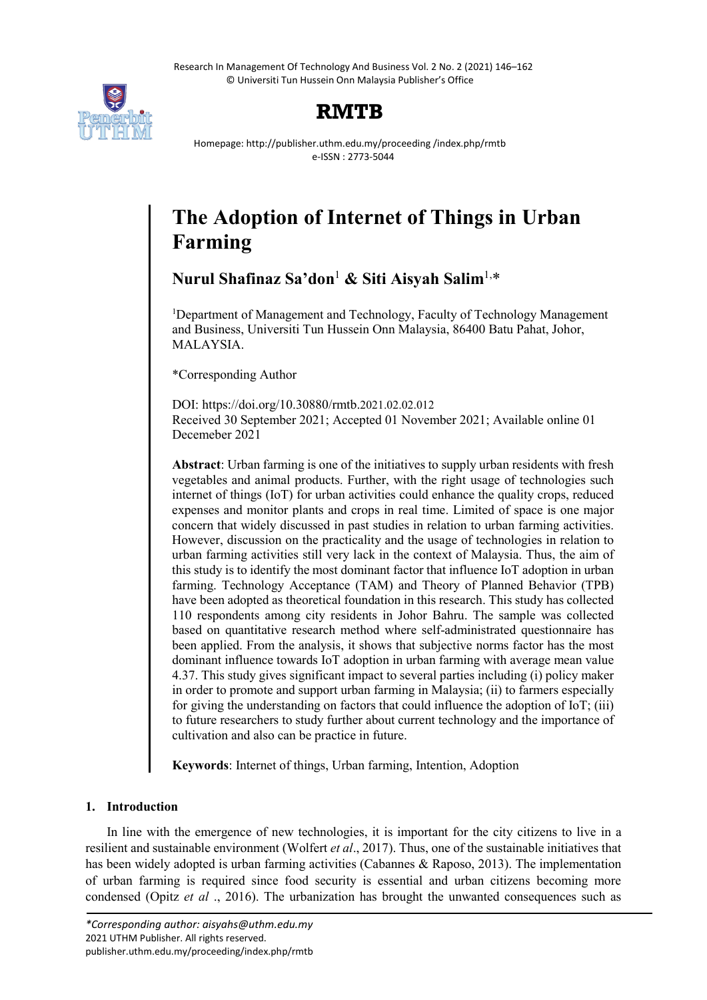

## **RMTB**

Homepage: http://publisher.uthm.edu.my/proceeding /index.php/rmtb e-ISSN : 2773-5044

# **The Adoption of Internet of Things in Urban Farming**

**Nurul Shafinaz Sa'don**<sup>1</sup> **& Siti Aisyah Salim**1,\*

<sup>1</sup>Department of Management and Technology, Faculty of Technology Management and Business, Universiti Tun Hussein Onn Malaysia, 86400 Batu Pahat, Johor, MALAYSIA.

\*Corresponding Author

DOI: https://doi.org/10.30880/rmtb.2021.02.02.012 Received 30 September 2021; Accepted 01 November 2021; Available online 01 Decemeber 2021

**Abstract**: Urban farming is one of the initiatives to supply urban residents with fresh vegetables and animal products. Further, with the right usage of technologies such internet of things (IoT) for urban activities could enhance the quality crops, reduced expenses and monitor plants and crops in real time. Limited of space is one major concern that widely discussed in past studies in relation to urban farming activities. However, discussion on the practicality and the usage of technologies in relation to urban farming activities still very lack in the context of Malaysia. Thus, the aim of this study is to identify the most dominant factor that influence IoT adoption in urban farming. Technology Acceptance (TAM) and Theory of Planned Behavior (TPB) have been adopted as theoretical foundation in this research. This study has collected 110 respondents among city residents in Johor Bahru. The sample was collected based on quantitative research method where self-administrated questionnaire has been applied. From the analysis, it shows that subjective norms factor has the most dominant influence towards IoT adoption in urban farming with average mean value 4.37. This study gives significant impact to several parties including (i) policy maker in order to promote and support urban farming in Malaysia; (ii) to farmers especially for giving the understanding on factors that could influence the adoption of IoT; (iii) to future researchers to study further about current technology and the importance of cultivation and also can be practice in future.

**Keywords**: Internet of things, Urban farming, Intention, Adoption

## **1. Introduction**

In line with the emergence of new technologies, it is important for the city citizens to live in a resilient and sustainable environment (Wolfert *et al*., 2017). Thus, one of the sustainable initiatives that has been widely adopted is urban farming activities (Cabannes & Raposo, 2013). The implementation of urban farming is required since food security is essential and urban citizens becoming more condensed (Opitz *et al* ., 2016). The urbanization has brought the unwanted consequences such as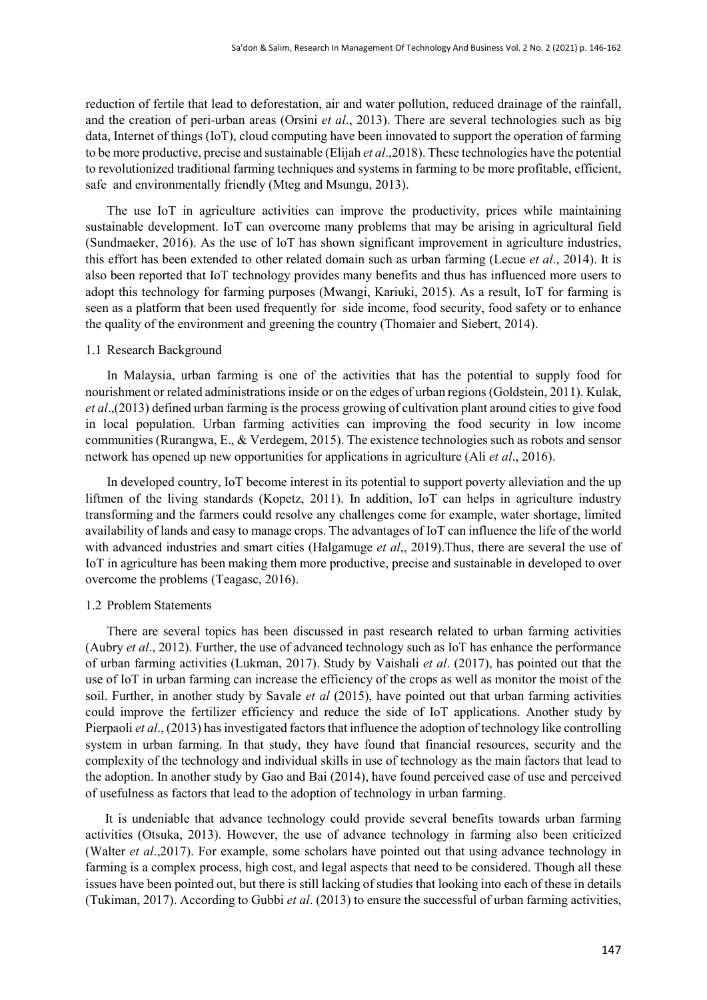reduction of fertile that lead to deforestation, air and water pollution, reduced drainage of the rainfall, and the creation of peri-urban areas (Orsini *et al*., 2013). There are several technologies such as big data, Internet of things (IoT), cloud computing have been innovated to support the operation of farming to be more productive, precise and sustainable (Elijah *et al*.,2018). These technologies have the potential to revolutionized traditional farming techniques and systems in farming to be more profitable, efficient, safe and environmentally friendly (Mteg and Msungu, 2013).

The use IoT in agriculture activities can improve the productivity, prices while maintaining sustainable development. IoT can overcome many problems that may be arising in agricultural field (Sundmaeker, 2016). As the use of IoT has shown significant improvement in agriculture industries, this effort has been extended to other related domain such as urban farming (Lecue *et al*., 2014). It is also been reported that IoT technology provides many benefits and thus has influenced more users to adopt this technology for farming purposes (Mwangi, Kariuki, 2015). As a result, IoT for farming is seen as a platform that been used frequently for side income, food security, food safety or to enhance the quality of the environment and greening the country (Thomaier and Siebert, 2014).

#### 1.1 Research Background

In Malaysia, urban farming is one of the activities that has the potential to supply food for nourishment or related administrations inside or on the edges of urban regions (Goldstein, 2011). Kulak, *et al*.,(2013) defined urban farming is the process growing of cultivation plant around cities to give food in local population. Urban farming activities can improving the food security in low income communities (Rurangwa, E., & Verdegem, 2015). The existence technologies such as robots and sensor network has opened up new opportunities for applications in agriculture (Ali *et al*., 2016).

In developed country, IoT become interest in its potential to support poverty alleviation and the up liftmen of the living standards (Kopetz, 2011). In addition, IoT can helps in agriculture industry transforming and the farmers could resolve any challenges come for example, water shortage, limited availability of lands and easy to manage crops. The advantages of IoT can influence the life of the world with advanced industries and smart cities (Halgamuge *et al*,, 2019).Thus, there are several the use of IoT in agriculture has been making them more productive, precise and sustainable in developed to over overcome the problems (Teagasc, 2016).

#### 1.2 Problem Statements

There are several topics has been discussed in past research related to urban farming activities (Aubry *et al*., 2012). Further, the use of advanced technology such as IoT has enhance the performance of urban farming activities (Lukman, 2017). Study by Vaishali *et al*. (2017), has pointed out that the use of IoT in urban farming can increase the efficiency of the crops as well as monitor the moist of the soil. Further, in another study by Savale *et al* (2015), have pointed out that urban farming activities could improve the fertilizer efficiency and reduce the side of IoT applications. Another study by Pierpaoli *et al*., (2013) has investigated factors that influence the adoption of technology like controlling system in urban farming. In that study, they have found that financial resources, security and the complexity of the technology and individual skills in use of technology as the main factors that lead to the adoption. In another study by Gao and Bai (2014), have found perceived ease of use and perceived of usefulness as factors that lead to the adoption of technology in urban farming.

 It is undeniable that advance technology could provide several benefits towards urban farming activities (Otsuka, 2013). However, the use of advance technology in farming also been criticized (Walter *et al*.,2017). For example, some scholars have pointed out that using advance technology in farming is a complex process, high cost, and legal aspects that need to be considered. Though all these issues have been pointed out, but there is still lacking of studies that looking into each of these in details (Tukiman, 2017). According to Gubbi *et al*. (2013) to ensure the successful of urban farming activities,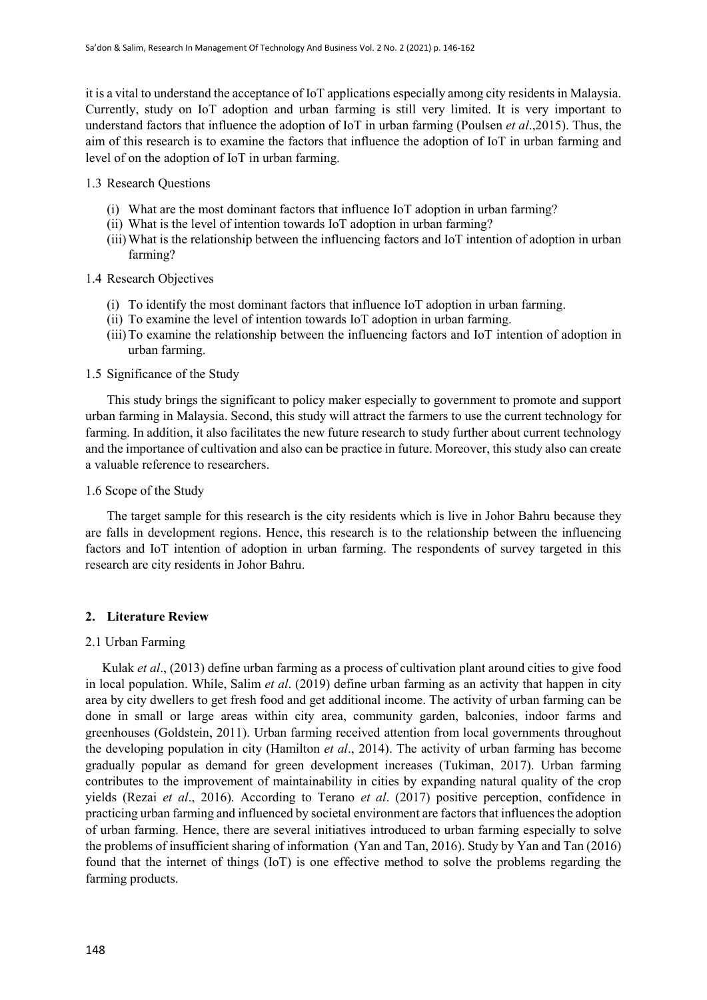it is a vital to understand the acceptance of IoT applications especially among city residents in Malaysia. Currently, study on IoT adoption and urban farming is still very limited. It is very important to understand factors that influence the adoption of IoT in urban farming (Poulsen *et al*.,2015). Thus, the aim of this research is to examine the factors that influence the adoption of IoT in urban farming and level of on the adoption of IoT in urban farming.

## 1.3 Research Questions

- (i) What are the most dominant factors that influence IoT adoption in urban farming?
- (ii) What is the level of intention towards IoT adoption in urban farming?
- (iii)What is the relationship between the influencing factors and IoT intention of adoption in urban farming?

## 1.4 Research Objectives

- (i) To identify the most dominant factors that influence IoT adoption in urban farming.
- (ii) To examine the level of intention towards IoT adoption in urban farming.
- (iii)To examine the relationship between the influencing factors and IoT intention of adoption in urban farming.

## 1.5 Significance of the Study

This study brings the significant to policy maker especially to government to promote and support urban farming in Malaysia. Second, this study will attract the farmers to use the current technology for farming. In addition, it also facilitates the new future research to study further about current technology and the importance of cultivation and also can be practice in future. Moreover, this study also can create a valuable reference to researchers.

#### 1.6 Scope of the Study

The target sample for this research is the city residents which is live in Johor Bahru because they are falls in development regions. Hence, this research is to the relationship between the influencing factors and IoT intention of adoption in urban farming. The respondents of survey targeted in this research are city residents in Johor Bahru.

## **2. Literature Review**

#### 2.1 Urban Farming

Kulak *et al*., (2013) define urban farming as a process of cultivation plant around cities to give food in local population. While, Salim *et al*. (2019) define urban farming as an activity that happen in city area by city dwellers to get fresh food and get additional income. The activity of urban farming can be done in small or large areas within city area, community garden, balconies, indoor farms and greenhouses (Goldstein, 2011). Urban farming received attention from local governments throughout the developing population in city (Hamilton *et al*., 2014). The activity of urban farming has become gradually popular as demand for green development increases (Tukiman, 2017). Urban farming contributes to the improvement of maintainability in cities by expanding natural quality of the crop yields (Rezai *et al*., 2016). According to Terano *et al*. (2017) positive perception, confidence in practicing urban farming and influenced by societal environment are factors that influences the adoption of urban farming. Hence, there are several initiatives introduced to urban farming especially to solve the problems of insufficient sharing of information (Yan and Tan, 2016). Study by Yan and Tan (2016) found that the internet of things (IoT) is one effective method to solve the problems regarding the farming products.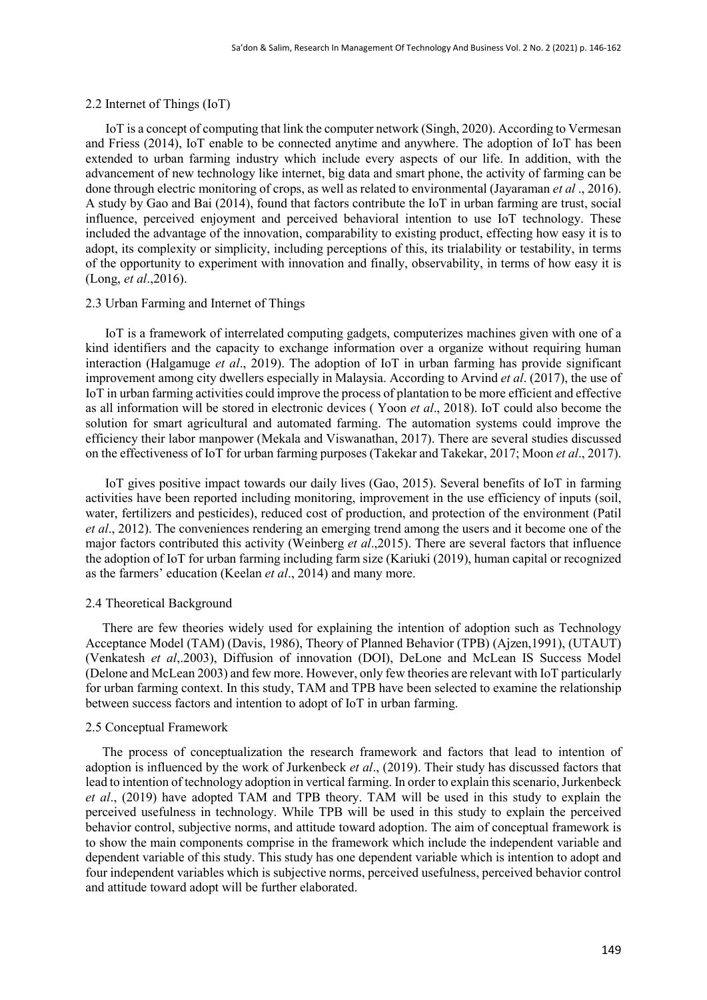## 2.2 Internet of Things (IoT)

IoT is a concept of computing that link the computer network (Singh, 2020). According to Vermesan and Friess (2014), IoT enable to be connected anytime and anywhere. The adoption of IoT has been extended to urban farming industry which include every aspects of our life. In addition, with the advancement of new technology like internet, big data and smart phone, the activity of farming can be done through electric monitoring of crops, as well as related to environmental (Jayaraman *et al* ., 2016). A study by Gao and Bai (2014), found that factors contribute the IoT in urban farming are trust, social influence, perceived enjoyment and perceived behavioral intention to use IoT technology. These included the advantage of the innovation, comparability to existing product, effecting how easy it is to adopt, its complexity or simplicity, including perceptions of this, its trialability or testability, in terms of the opportunity to experiment with innovation and finally, observability, in terms of how easy it is (Long, *et al*.,2016).

#### 2.3 Urban Farming and Internet of Things

 IoT is a framework of interrelated computing gadgets, computerizes machines given with one of a kind identifiers and the capacity to exchange information over a organize without requiring human interaction (Halgamuge *et al*., 2019). The adoption of IoT in urban farming has provide significant improvement among city dwellers especially in Malaysia. According to Arvind *et al*. (2017), the use of IoT in urban farming activities could improve the process of plantation to be more efficient and effective as all information will be stored in electronic devices ( Yoon *et al*., 2018). IoT could also become the solution for smart agricultural and automated farming. The automation systems could improve the efficiency their labor manpower (Mekala and Viswanathan, 2017). There are several studies discussed on the effectiveness of IoT for urban farming purposes (Takekar and Takekar, 2017; Moon *et al*., 2017).

 IoT gives positive impact towards our daily lives (Gao, 2015). Several benefits of IoT in farming activities have been reported including monitoring, improvement in the use efficiency of inputs (soil, water, fertilizers and pesticides), reduced cost of production, and protection of the environment (Patil *et al*., 2012). The conveniences rendering an emerging trend among the users and it become one of the major factors contributed this activity (Weinberg *et al*.,2015). There are several factors that influence the adoption of IoT for urban farming including farm size (Kariuki (2019), human capital or recognized as the farmers' education (Keelan *et al*., 2014) and many more.

#### 2.4 Theoretical Background

There are few theories widely used for explaining the intention of adoption such as Technology Acceptance Model (TAM) (Davis, 1986), Theory of Planned Behavior (TPB) (Ajzen,1991), (UTAUT) (Venkatesh *et al*,.2003), Diffusion of innovation (DOI), DeLone and McLean IS Success Model (Delone and McLean 2003) and few more. However, only few theories are relevant with IoT particularly for urban farming context. In this study, TAM and TPB have been selected to examine the relationship between success factors and intention to adopt of IoT in urban farming.

## 2.5 Conceptual Framework

The process of conceptualization the research framework and factors that lead to intention of adoption is influenced by the work of Jurkenbeck *et al*., (2019). Their study has discussed factors that lead to intention of technology adoption in vertical farming. In order to explain this scenario, Jurkenbeck *et al*., (2019) have adopted TAM and TPB theory. TAM will be used in this study to explain the perceived usefulness in technology. While TPB will be used in this study to explain the perceived behavior control, subjective norms, and attitude toward adoption. The aim of conceptual framework is to show the main components comprise in the framework which include the independent variable and dependent variable of this study. This study has one dependent variable which is intention to adopt and four independent variables which is subjective norms, perceived usefulness, perceived behavior control and attitude toward adopt will be further elaborated.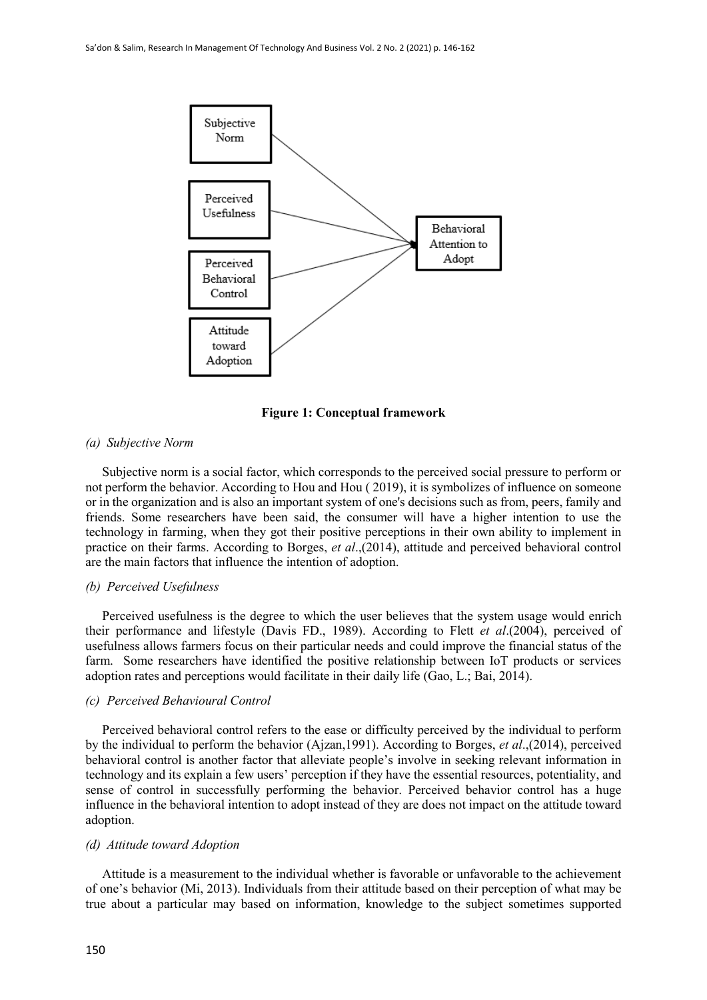

**Figure 1: Conceptual framework**

#### *(a) Subjective Norm*

Subjective norm is a social factor, which corresponds to the perceived social pressure to perform or not perform the behavior. According to Hou and Hou ( 2019), it is symbolizes of influence on someone or in the organization and is also an important system of one's decisions such as from, peers, family and friends. Some researchers have been said, the consumer will have a higher intention to use the technology in farming, when they got their positive perceptions in their own ability to implement in practice on their farms. According to Borges, *et al*.,(2014), attitude and perceived behavioral control are the main factors that influence the intention of adoption.

## *(b) Perceived Usefulness*

Perceived usefulness is the degree to which the user believes that the system usage would enrich their performance and lifestyle (Davis FD., 1989). According to Flett *et al*.(2004), perceived of usefulness allows farmers focus on their particular needs and could improve the financial status of the farm. Some researchers have identified the positive relationship between IoT products or services adoption rates and perceptions would facilitate in their daily life (Gao, L.; Bai, 2014).

#### *(c) Perceived Behavioural Control*

Perceived behavioral control refers to the ease or difficulty perceived by the individual to perform by the individual to perform the behavior (Ajzan,1991). According to Borges, *et al*.,(2014), perceived behavioral control is another factor that alleviate people's involve in seeking relevant information in technology and its explain a few users' perception if they have the essential resources, potentiality, and sense of control in successfully performing the behavior. Perceived behavior control has a huge influence in the behavioral intention to adopt instead of they are does not impact on the attitude toward adoption.

#### *(d) Attitude toward Adoption*

Attitude is a measurement to the individual whether is favorable or unfavorable to the achievement of one's behavior (Mi, 2013). Individuals from their attitude based on their perception of what may be true about a particular may based on information, knowledge to the subject sometimes supported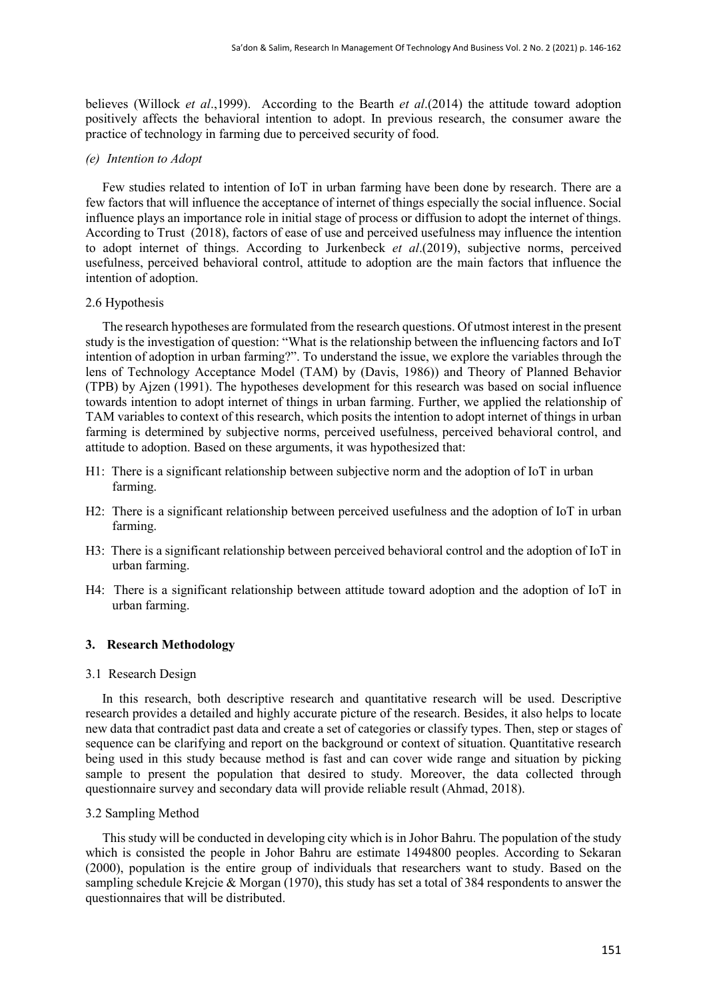believes (Willock *et al*.,1999). According to the Bearth *et al*.(2014) the attitude toward adoption positively affects the behavioral intention to adopt. In previous research, the consumer aware the practice of technology in farming due to perceived security of food.

#### *(e) Intention to Adopt*

Few studies related to intention of IoT in urban farming have been done by research. There are a few factors that will influence the acceptance of internet of things especially the social influence. Social influence plays an importance role in initial stage of process or diffusion to adopt the internet of things. According to Trust (2018), factors of ease of use and perceived usefulness may influence the intention to adopt internet of things. According to Jurkenbeck *et al*.(2019), subjective norms, perceived usefulness, perceived behavioral control, attitude to adoption are the main factors that influence the intention of adoption.

#### 2.6 Hypothesis

The research hypotheses are formulated from the research questions. Of utmost interest in the present study is the investigation of question: "What is the relationship between the influencing factors and IoT intention of adoption in urban farming?". To understand the issue, we explore the variables through the lens of Technology Acceptance Model (TAM) by (Davis, 1986)) and Theory of Planned Behavior (TPB) by Ajzen (1991). The hypotheses development for this research was based on social influence towards intention to adopt internet of things in urban farming. Further, we applied the relationship of TAM variables to context of this research, which posits the intention to adopt internet of things in urban farming is determined by subjective norms, perceived usefulness, perceived behavioral control, and attitude to adoption. Based on these arguments, it was hypothesized that:

- H1: There is a significant relationship between subjective norm and the adoption of IoT in urban farming.
- H2: There is a significant relationship between perceived usefulness and the adoption of IoT in urban farming.
- H3: There is a significant relationship between perceived behavioral control and the adoption of IoT in urban farming.
- H4: There is a significant relationship between attitude toward adoption and the adoption of IoT in urban farming.

## **3. Research Methodology**

#### 3.1 Research Design

In this research, both descriptive research and quantitative research will be used. Descriptive research provides a detailed and highly accurate picture of the research. Besides, it also helps to locate new data that contradict past data and create a set of categories or classify types. Then, step or stages of sequence can be clarifying and report on the background or context of situation. Quantitative research being used in this study because method is fast and can cover wide range and situation by picking sample to present the population that desired to study. Moreover, the data collected through questionnaire survey and secondary data will provide reliable result (Ahmad, 2018).

#### 3.2 Sampling Method

This study will be conducted in developing city which is in Johor Bahru. The population of the study which is consisted the people in Johor Bahru are estimate 1494800 peoples. According to Sekaran (2000), population is the entire group of individuals that researchers want to study. Based on the sampling schedule Krejcie & Morgan (1970), this study has set a total of 384 respondents to answer the questionnaires that will be distributed.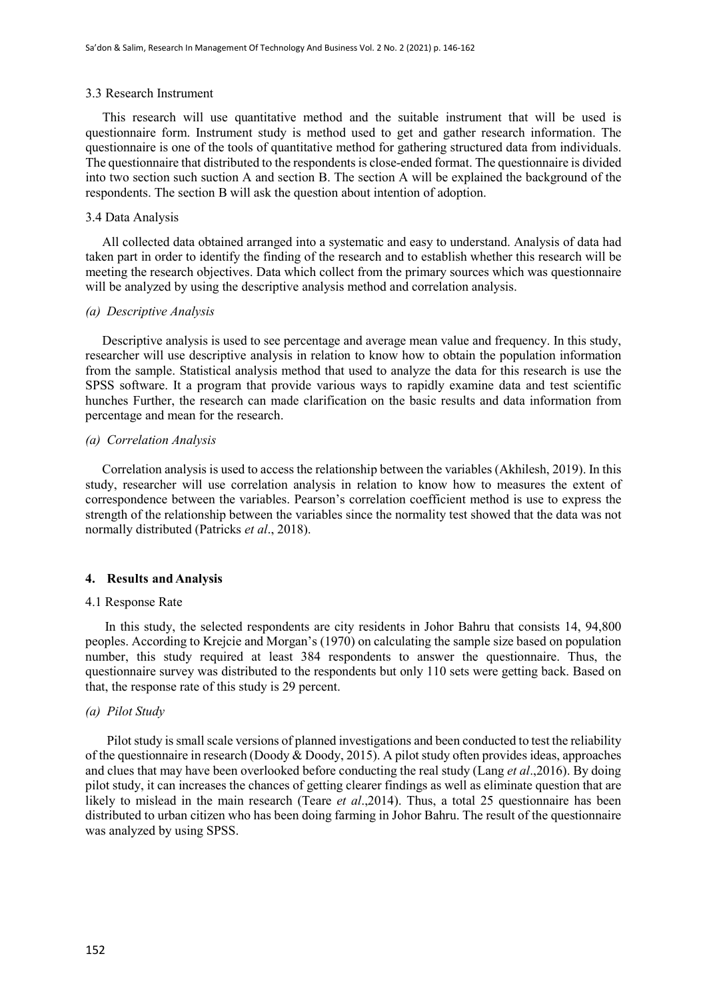#### 3.3 Research Instrument

This research will use quantitative method and the suitable instrument that will be used is questionnaire form. Instrument study is method used to get and gather research information. The questionnaire is one of the tools of quantitative method for gathering structured data from individuals. The questionnaire that distributed to the respondents is close-ended format. The questionnaire is divided into two section such suction A and section B. The section A will be explained the background of the respondents. The section B will ask the question about intention of adoption.

#### 3.4 Data Analysis

All collected data obtained arranged into a systematic and easy to understand. Analysis of data had taken part in order to identify the finding of the research and to establish whether this research will be meeting the research objectives. Data which collect from the primary sources which was questionnaire will be analyzed by using the descriptive analysis method and correlation analysis.

#### *(a) Descriptive Analysis*

Descriptive analysis is used to see percentage and average mean value and frequency. In this study, researcher will use descriptive analysis in relation to know how to obtain the population information from the sample. Statistical analysis method that used to analyze the data for this research is use the SPSS software. It a program that provide various ways to rapidly examine data and test scientific hunches Further, the research can made clarification on the basic results and data information from percentage and mean for the research.

## *(a) Correlation Analysis*

Correlation analysis is used to access the relationship between the variables (Akhilesh, 2019). In this study, researcher will use correlation analysis in relation to know how to measures the extent of correspondence between the variables. Pearson's correlation coefficient method is use to express the strength of the relationship between the variables since the normality test showed that the data was not normally distributed (Patricks *et al*., 2018).

#### **4. Results and Analysis**

#### 4.1 Response Rate

 In this study, the selected respondents are city residents in Johor Bahru that consists 14, 94,800 peoples. According to Krejcie and Morgan's (1970) on calculating the sample size based on population number, this study required at least 384 respondents to answer the questionnaire. Thus, the questionnaire survey was distributed to the respondents but only 110 sets were getting back. Based on that, the response rate of this study is 29 percent.

#### *(a) Pilot Study*

Pilot study is small scale versions of planned investigations and been conducted to test the reliability of the questionnaire in research (Doody & Doody, 2015). A pilot study often provides ideas, approaches and clues that may have been overlooked before conducting the real study (Lang *et al*.,2016). By doing pilot study, it can increases the chances of getting clearer findings as well as eliminate question that are likely to mislead in the main research (Teare *et al*.,2014). Thus, a total 25 questionnaire has been distributed to urban citizen who has been doing farming in Johor Bahru. The result of the questionnaire was analyzed by using SPSS.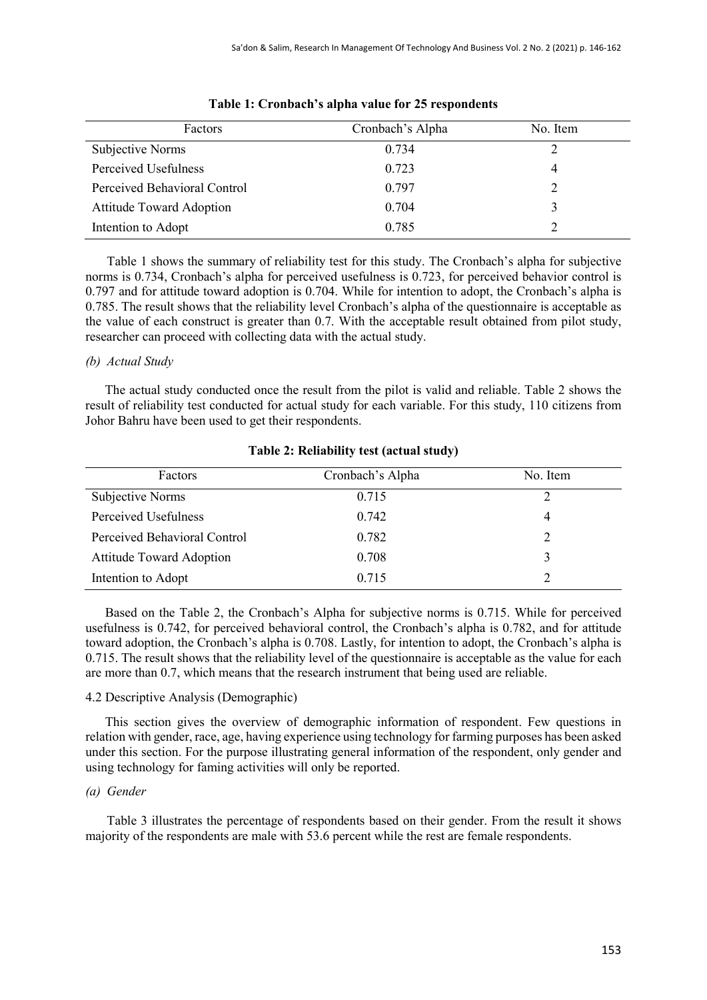| Factors                         | Cronbach's Alpha | No. Item |
|---------------------------------|------------------|----------|
| Subjective Norms                | 0.734            |          |
| Perceived Usefulness            | 0.723            | 4        |
| Perceived Behavioral Control    | 0.797            |          |
| <b>Attitude Toward Adoption</b> | 0.704            |          |
| Intention to Adopt              | 0.785            |          |

|  |  |  |  | Table 1: Cronbach's alpha value for 25 respondents |
|--|--|--|--|----------------------------------------------------|
|--|--|--|--|----------------------------------------------------|

Table 1 shows the summary of reliability test for this study. The Cronbach's alpha for subjective norms is 0.734, Cronbach's alpha for perceived usefulness is 0.723, for perceived behavior control is 0.797 and for attitude toward adoption is 0.704. While for intention to adopt, the Cronbach's alpha is 0.785. The result shows that the reliability level Cronbach's alpha of the questionnaire is acceptable as the value of each construct is greater than 0.7. With the acceptable result obtained from pilot study, researcher can proceed with collecting data with the actual study.

## *(b) Actual Study*

 The actual study conducted once the result from the pilot is valid and reliable. Table 2 shows the result of reliability test conducted for actual study for each variable. For this study, 110 citizens from Johor Bahru have been used to get their respondents.

| Factors                         | Cronbach's Alpha | No. Item |
|---------------------------------|------------------|----------|
| Subjective Norms                | 0.715            |          |
| Perceived Usefulness            | 0.742            | 4        |
| Perceived Behavioral Control    | 0.782            |          |
| <b>Attitude Toward Adoption</b> | 0.708            |          |
| Intention to Adopt              | 0.715            |          |

## **Table 2: Reliability test (actual study)**

 Based on the Table 2, the Cronbach's Alpha for subjective norms is 0.715. While for perceived usefulness is 0.742, for perceived behavioral control, the Cronbach's alpha is 0.782, and for attitude toward adoption, the Cronbach's alpha is 0.708. Lastly, for intention to adopt, the Cronbach's alpha is 0.715. The result shows that the reliability level of the questionnaire is acceptable as the value for each are more than 0.7, which means that the research instrument that being used are reliable.

## 4.2 Descriptive Analysis (Demographic)

 This section gives the overview of demographic information of respondent. Few questions in relation with gender, race, age, having experience using technology for farming purposes has been asked under this section. For the purpose illustrating general information of the respondent, only gender and using technology for faming activities will only be reported.

## *(a) Gender*

Table 3 illustrates the percentage of respondents based on their gender. From the result it shows majority of the respondents are male with 53.6 percent while the rest are female respondents.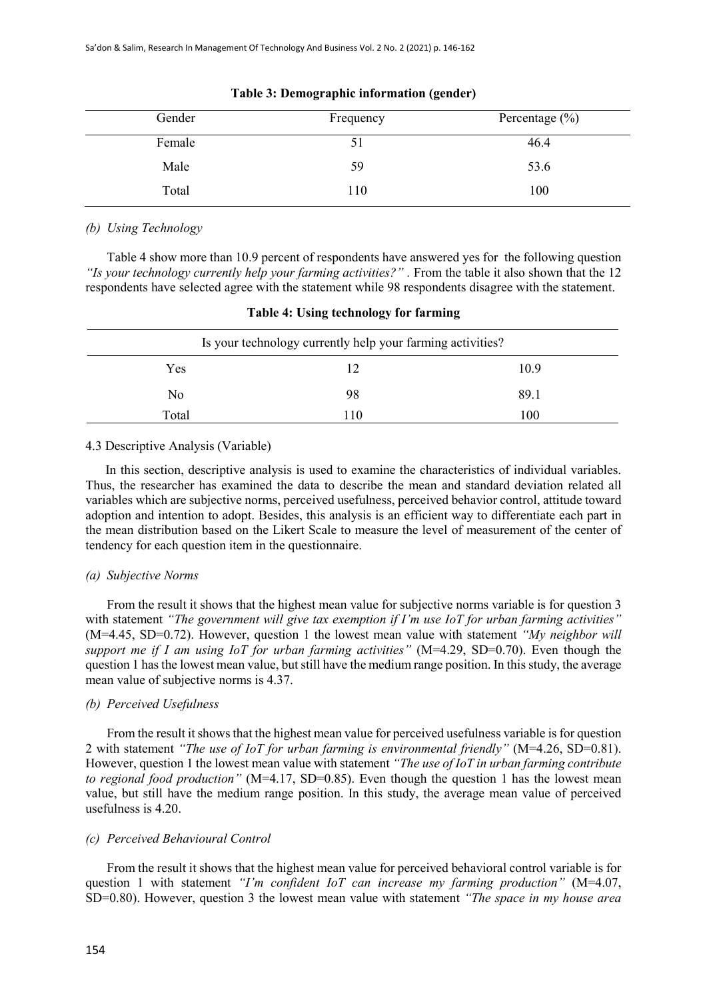| Gender | Frequency | Percentage $(\% )$ |
|--------|-----------|--------------------|
| Female |           | 46.4               |
| Male   | 59        | 53.6               |
| Total  | 110       | 100                |

| Table 3: Demographic information (gender) |  |  |  |  |  |  |
|-------------------------------------------|--|--|--|--|--|--|
|-------------------------------------------|--|--|--|--|--|--|

## *(b) Using Technology*

Table 4 show more than 10.9 percent of respondents have answered yes for the following question "Is your technology currently help your farming activities?" . From the table it also shown that the 12 respondents have selected agree with the statement while 98 respondents disagree with the statement.

|       | Is your technology currently help your farming activities? |      |
|-------|------------------------------------------------------------|------|
| Yes   | 12                                                         | 10.9 |
| No    | 98                                                         | 89.1 |
| Total | 110                                                        | 100  |

## **Table 4: Using technology for farming**

#### 4.3 Descriptive Analysis (Variable)

In this section, descriptive analysis is used to examine the characteristics of individual variables. Thus, the researcher has examined the data to describe the mean and standard deviation related all variables which are subjective norms, perceived usefulness, perceived behavior control, attitude toward adoption and intention to adopt. Besides, this analysis is an efficient way to differentiate each part in the mean distribution based on the Likert Scale to measure the level of measurement of the center of tendency for each question item in the questionnaire.

#### *(a) Subjective Norms*

From the result it shows that the highest mean value for subjective norms variable is for question 3 with statement *"The government will give tax exemption if I'm use IoT for urban farming activities"*  (M=4.45, SD=0.72). However, question 1 the lowest mean value with statement *"My neighbor will support me if I am using IoT for urban farming activities"* (M=4.29, SD=0.70). Even though the question 1 has the lowest mean value, but still have the medium range position. In this study, the average mean value of subjective norms is 4.37.

## *(b) Perceived Usefulness*

From the result it shows that the highest mean value for perceived usefulness variable is for question 2 with statement *"The use of IoT for urban farming is environmental friendly"* (M=4.26, SD=0.81). However, question 1 the lowest mean value with statement *"The use of IoT in urban farming contribute to regional food production*" (M=4.17, SD=0.85). Even though the question 1 has the lowest mean value, but still have the medium range position. In this study, the average mean value of perceived usefulness is 4.20.

#### *(c) Perceived Behavioural Control*

From the result it shows that the highest mean value for perceived behavioral control variable is for question 1 with statement *"I'm confident IoT can increase my farming production"* (M=4.07, SD=0.80). However, question 3 the lowest mean value with statement *"The space in my house area*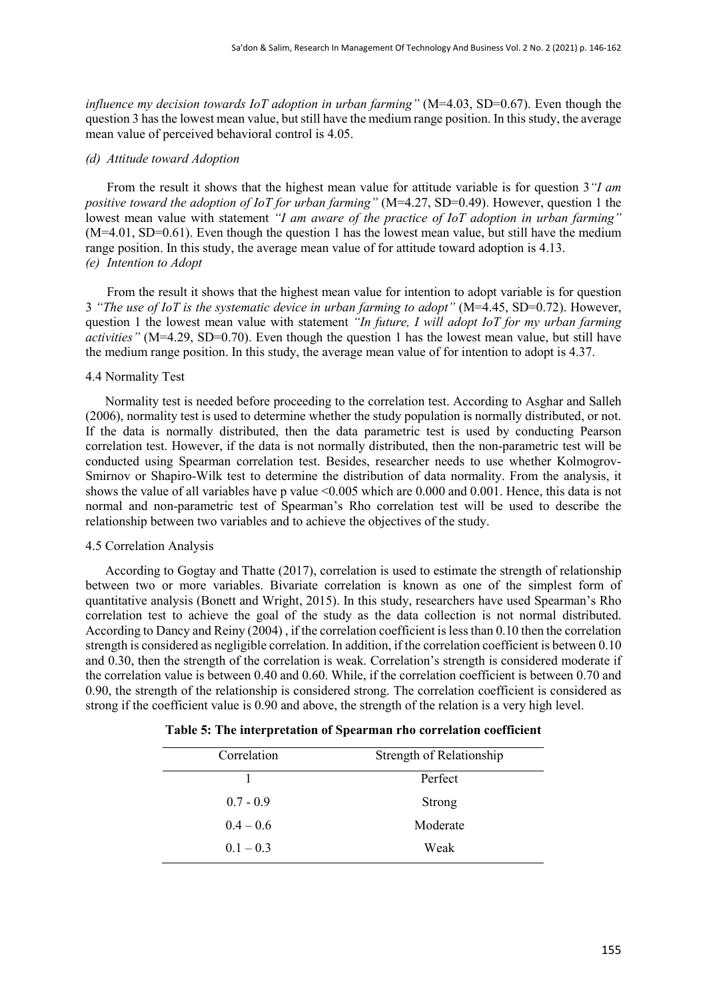*influence my decision towards IoT adoption in urban farming*" (M=4.03, SD=0.67). Even though the question 3 has the lowest mean value, but still have the medium range position. In this study, the average mean value of perceived behavioral control is 4.05.

## *(d) Attitude toward Adoption*

From the result it shows that the highest mean value for attitude variable is for question 3*"I am positive toward the adoption of IoT for urban farming"* (M=4.27, SD=0.49). However, question 1 the lowest mean value with statement *"I am aware of the practice of IoT adoption in urban farming"*  (M=4.01, SD=0.61). Even though the question 1 has the lowest mean value, but still have the medium range position. In this study, the average mean value of for attitude toward adoption is 4.13. *(e) Intention to Adopt*

From the result it shows that the highest mean value for intention to adopt variable is for question 3 *"The use of IoT is the systematic device in urban farming to adopt"* (M=4.45, SD=0.72). However, question 1 the lowest mean value with statement *"In future, I will adopt IoT for my urban farming activities"* (M=4.29, SD=0.70). Even though the question 1 has the lowest mean value, but still have the medium range position. In this study, the average mean value of for intention to adopt is 4.37.

#### 4.4 Normality Test

 Normality test is needed before proceeding to the correlation test. According to Asghar and Salleh (2006), normality test is used to determine whether the study population is normally distributed, or not. If the data is normally distributed, then the data parametric test is used by conducting Pearson correlation test. However, if the data is not normally distributed, then the non-parametric test will be conducted using Spearman correlation test. Besides, researcher needs to use whether Kolmogrov-Smirnov or Shapiro-Wilk test to determine the distribution of data normality. From the analysis, it shows the value of all variables have p value <0.005 which are 0.000 and 0.001. Hence, this data is not normal and non-parametric test of Spearman's Rho correlation test will be used to describe the relationship between two variables and to achieve the objectives of the study.

#### 4.5 Correlation Analysis

 According to Gogtay and Thatte (2017), correlation is used to estimate the strength of relationship between two or more variables. Bivariate correlation is known as one of the simplest form of quantitative analysis (Bonett and Wright, 2015). In this study, researchers have used Spearman's Rho correlation test to achieve the goal of the study as the data collection is not normal distributed. According to Dancy and Reiny (2004) , if the correlation coefficient is less than 0.10 then the correlation strength is considered as negligible correlation. In addition, if the correlation coefficient is between 0.10 and 0.30, then the strength of the correlation is weak. Correlation's strength is considered moderate if the correlation value is between 0.40 and 0.60. While, if the correlation coefficient is between 0.70 and 0.90, the strength of the relationship is considered strong. The correlation coefficient is considered as strong if the coefficient value is 0.90 and above, the strength of the relation is a very high level.

|  |  | Table 5: The interpretation of Spearman rho correlation coefficient |  |  |
|--|--|---------------------------------------------------------------------|--|--|
|--|--|---------------------------------------------------------------------|--|--|

| Correlation | Strength of Relationship |
|-------------|--------------------------|
|             | Perfect                  |
| $0.7 - 0.9$ | Strong                   |
| $0.4 - 0.6$ | Moderate                 |
| $0.1 - 0.3$ | Weak                     |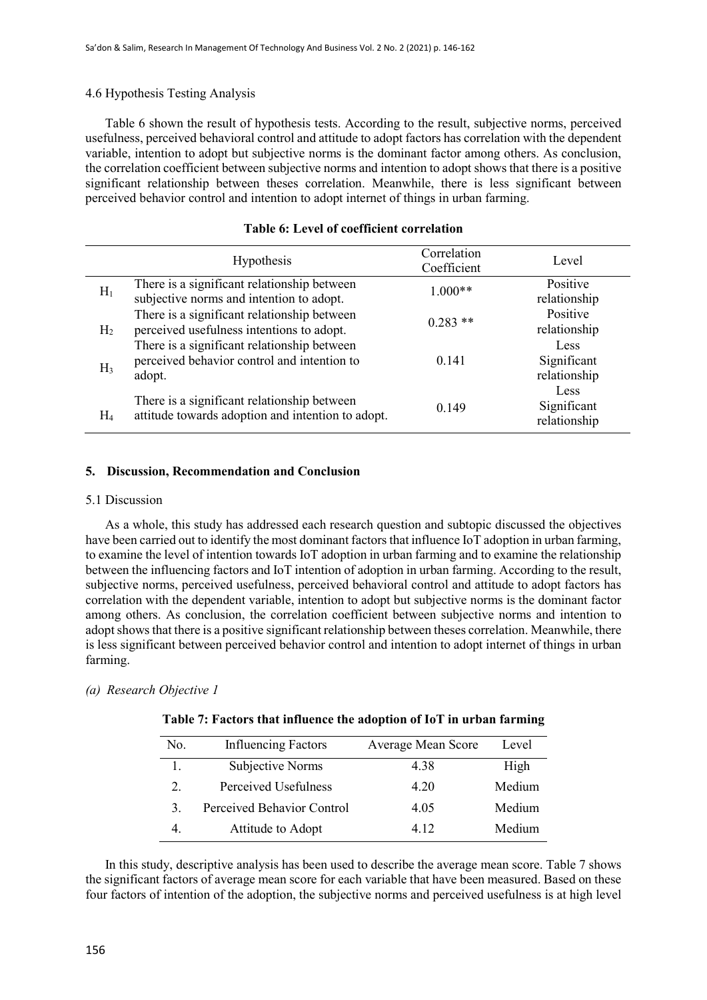## 4.6 Hypothesis Testing Analysis

 Table 6 shown the result of hypothesis tests. According to the result, subjective norms, perceived usefulness, perceived behavioral control and attitude to adopt factors has correlation with the dependent variable, intention to adopt but subjective norms is the dominant factor among others. As conclusion, the correlation coefficient between subjective norms and intention to adopt shows that there is a positive significant relationship between theses correlation. Meanwhile, there is less significant between perceived behavior control and intention to adopt internet of things in urban farming.

|                | Hypothesis                                                                                           | Correlation<br>Coefficient | Level                               |
|----------------|------------------------------------------------------------------------------------------------------|----------------------------|-------------------------------------|
| $H_1$          | There is a significant relationship between<br>subjective norms and intention to adopt.              | $1.000**$                  | Positive<br>relationship            |
| H <sub>2</sub> | There is a significant relationship between<br>perceived usefulness intentions to adopt.             | $0.283$ **                 | Positive<br>relationship            |
| $H_3$          | There is a significant relationship between<br>perceived behavior control and intention to<br>adopt. | 0.141                      | Less<br>Significant<br>relationship |
| $H_4$          | There is a significant relationship between<br>attitude towards adoption and intention to adopt.     | 0.149                      | Less<br>Significant<br>relationship |

## **Table 6: Level of coefficient correlation**

#### **5. Discussion, Recommendation and Conclusion**

#### 5.1 Discussion

 As a whole, this study has addressed each research question and subtopic discussed the objectives have been carried out to identify the most dominant factors that influence IoT adoption in urban farming, to examine the level of intention towards IoT adoption in urban farming and to examine the relationship between the influencing factors and IoT intention of adoption in urban farming. According to the result, subjective norms, perceived usefulness, perceived behavioral control and attitude to adopt factors has correlation with the dependent variable, intention to adopt but subjective norms is the dominant factor among others. As conclusion, the correlation coefficient between subjective norms and intention to adopt shows that there is a positive significant relationship between theses correlation. Meanwhile, there is less significant between perceived behavior control and intention to adopt internet of things in urban farming.

## *(a) Research Objective 1*

## **Table 7: Factors that influence the adoption of IoT in urban farming**

| No.                    | <b>Influencing Factors</b> | Average Mean Score | Level  |
|------------------------|----------------------------|--------------------|--------|
| $\overline{1}$ .       | Subjective Norms           | 4.38               | High   |
| $\mathcal{D}_{\alpha}$ | Perceived Usefulness       | 4.20               | Medium |
| 3.                     | Perceived Behavior Control | 4.05               | Medium |
|                        | Attitude to Adopt          | 4.12               | Medium |

 In this study, descriptive analysis has been used to describe the average mean score. Table 7 shows the significant factors of average mean score for each variable that have been measured. Based on these four factors of intention of the adoption, the subjective norms and perceived usefulness is at high level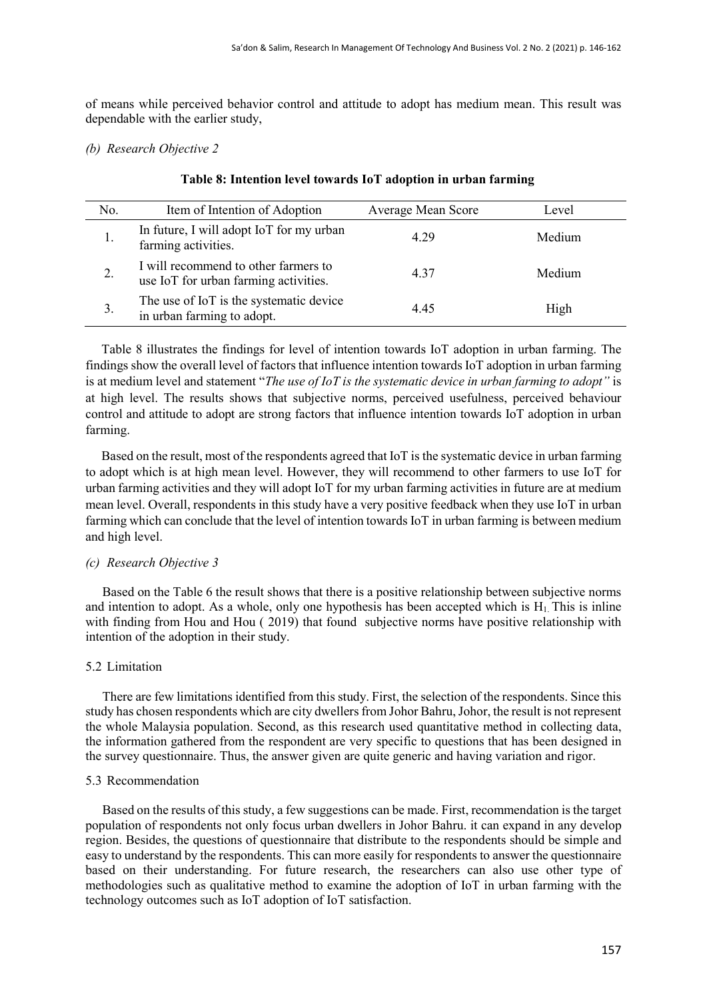of means while perceived behavior control and attitude to adopt has medium mean. This result was dependable with the earlier study,

## *(b) Research Objective 2*

| No. | Item of Intention of Adoption                                                 | Average Mean Score | Level  |
|-----|-------------------------------------------------------------------------------|--------------------|--------|
| 1.  | In future, I will adopt IoT for my urban<br>farming activities.               | 4.29               | Medium |
| 2.  | I will recommend to other farmers to<br>use IoT for urban farming activities. | 4.37               | Medium |
| 3.  | The use of IoT is the systematic device<br>in urban farming to adopt.         | 4.45               | High   |

## **Table 8: Intention level towards IoT adoption in urban farming**

Table 8 illustrates the findings for level of intention towards IoT adoption in urban farming. The findings show the overall level of factors that influence intention towards IoT adoption in urban farming is at medium level and statement "*The use of IoT is the systematic device in urban farming to adopt"* is at high level. The results shows that subjective norms, perceived usefulness, perceived behaviour control and attitude to adopt are strong factors that influence intention towards IoT adoption in urban farming.

Based on the result, most of the respondents agreed that IoT is the systematic device in urban farming to adopt which is at high mean level. However, they will recommend to other farmers to use IoT for urban farming activities and they will adopt IoT for my urban farming activities in future are at medium mean level. Overall, respondents in this study have a very positive feedback when they use IoT in urban farming which can conclude that the level of intention towards IoT in urban farming is between medium and high level.

## *(c) Research Objective 3*

Based on the Table 6 the result shows that there is a positive relationship between subjective norms and intention to adopt. As a whole, only one hypothesis has been accepted which is  $H_1$ . This is inline with finding from Hou and Hou ( 2019) that found subjective norms have positive relationship with intention of the adoption in their study.

## 5.2 Limitation

There are few limitations identified from this study. First, the selection of the respondents. Since this study has chosen respondents which are city dwellers from Johor Bahru, Johor, the result is not represent the whole Malaysia population. Second, as this research used quantitative method in collecting data, the information gathered from the respondent are very specific to questions that has been designed in the survey questionnaire. Thus, the answer given are quite generic and having variation and rigor.

## 5.3 Recommendation

Based on the results of this study, a few suggestions can be made. First, recommendation is the target population of respondents not only focus urban dwellers in Johor Bahru. it can expand in any develop region. Besides, the questions of questionnaire that distribute to the respondents should be simple and easy to understand by the respondents. This can more easily for respondents to answer the questionnaire based on their understanding. For future research, the researchers can also use other type of methodologies such as qualitative method to examine the adoption of IoT in urban farming with the technology outcomes such as IoT adoption of IoT satisfaction.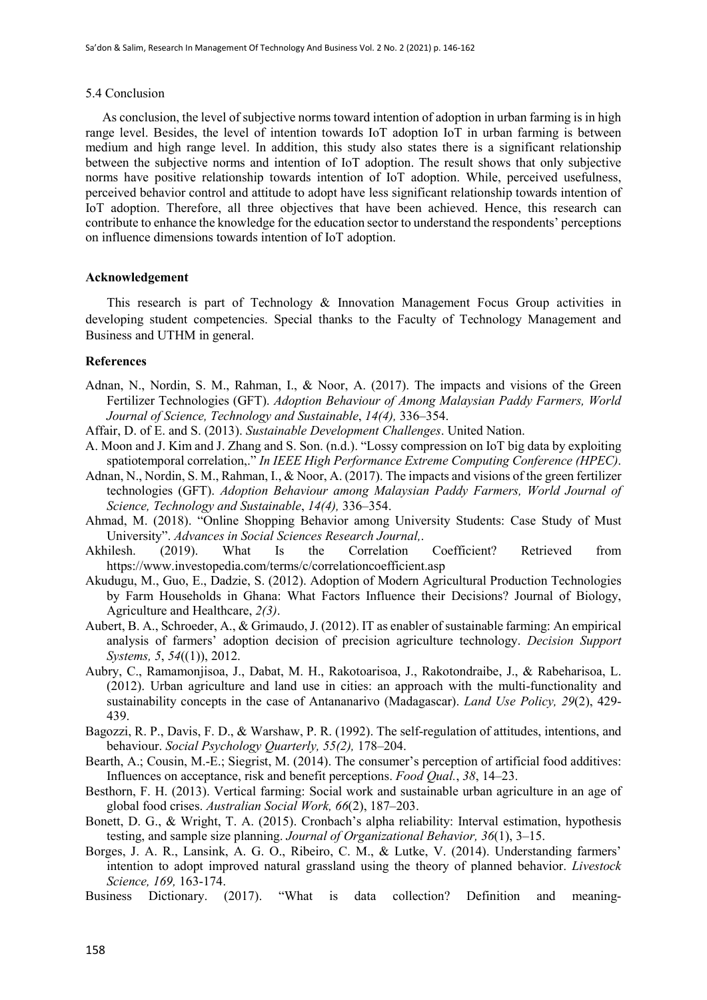#### 5.4 Conclusion

As conclusion, the level of subjective norms toward intention of adoption in urban farming is in high range level. Besides, the level of intention towards IoT adoption IoT in urban farming is between medium and high range level. In addition, this study also states there is a significant relationship between the subjective norms and intention of IoT adoption. The result shows that only subjective norms have positive relationship towards intention of IoT adoption. While, perceived usefulness, perceived behavior control and attitude to adopt have less significant relationship towards intention of IoT adoption. Therefore, all three objectives that have been achieved. Hence, this research can contribute to enhance the knowledge for the education sector to understand the respondents' perceptions on influence dimensions towards intention of IoT adoption.

## **Acknowledgement**

This research is part of Technology & Innovation Management Focus Group activities in developing student competencies. Special thanks to the Faculty of Technology Management and Business and UTHM in general.

## **References**

- Adnan, N., Nordin, S. M., Rahman, I., & Noor, A. (2017). The impacts and visions of the Green Fertilizer Technologies (GFT). *Adoption Behaviour of Among Malaysian Paddy Farmers, World Journal of Science, Technology and Sustainable*, *14(4),* 336–354.
- Affair, D. of E. and S. (2013). *Sustainable Development Challenges*. United Nation.
- A. Moon and J. Kim and J. Zhang and S. Son. (n.d.). "Lossy compression on IoT big data by exploiting spatiotemporal correlation,." *In IEEE High Performance Extreme Computing Conference (HPEC)*.
- Adnan, N., Nordin, S. M., Rahman, I., & Noor, A. (2017). The impacts and visions of the green fertilizer technologies (GFT). *Adoption Behaviour among Malaysian Paddy Farmers, World Journal of Science, Technology and Sustainable*, *14(4),* 336–354.
- Ahmad, M. (2018). "Online Shopping Behavior among University Students: Case Study of Must University". *Advances in Social Sciences Research Journal,*.
- Akhilesh. (2019). What Is the Correlation Coefficient? Retrieved from https://www.investopedia.com/terms/c/correlationcoefficient.asp
- Akudugu, M., Guo, E., Dadzie, S. (2012). Adoption of Modern Agricultural Production Technologies by Farm Households in Ghana: What Factors Influence their Decisions? Journal of Biology, Agriculture and Healthcare, *2(3)*.
- Aubert, B. A., Schroeder, A., & Grimaudo, J. (2012). IT as enabler of sustainable farming: An empirical analysis of farmers' adoption decision of precision agriculture technology. *Decision Support Systems, 5*, *54*((1)), 2012.
- Aubry, C., Ramamonjisoa, J., Dabat, M. H., Rakotoarisoa, J., Rakotondraibe, J., & Rabeharisoa, L. (2012). Urban agriculture and land use in cities: an approach with the multi-functionality and sustainability concepts in the case of Antananarivo (Madagascar). *Land Use Policy, 29*(2), 429- 439.
- Bagozzi, R. P., Davis, F. D., & Warshaw, P. R. (1992). The self-regulation of attitudes, intentions, and behaviour. *Social Psychology Quarterly, 55(2),* 178–204.
- Bearth, A.; Cousin, M.-E.; Siegrist, M. (2014). The consumer's perception of artificial food additives: Influences on acceptance, risk and benefit perceptions. *Food Qual.*, *38*, 14–23.
- Besthorn, F. H. (2013). Vertical farming: Social work and sustainable urban agriculture in an age of global food crises. *Australian Social Work, 66*(2), 187–203.
- Bonett, D. G., & Wright, T. A. (2015). Cronbach's alpha reliability: Interval estimation, hypothesis testing, and sample size planning. *Journal of Organizational Behavior, 36*(1), 3–15.
- Borges, J. A. R., Lansink, A. G. O., Ribeiro, C. M., & Lutke, V. (2014). Understanding farmers' intention to adopt improved natural grassland using the theory of planned behavior. *Livestock Science, 169,* 163-174.
- Business Dictionary. (2017). "What is data collection? Definition and meaning-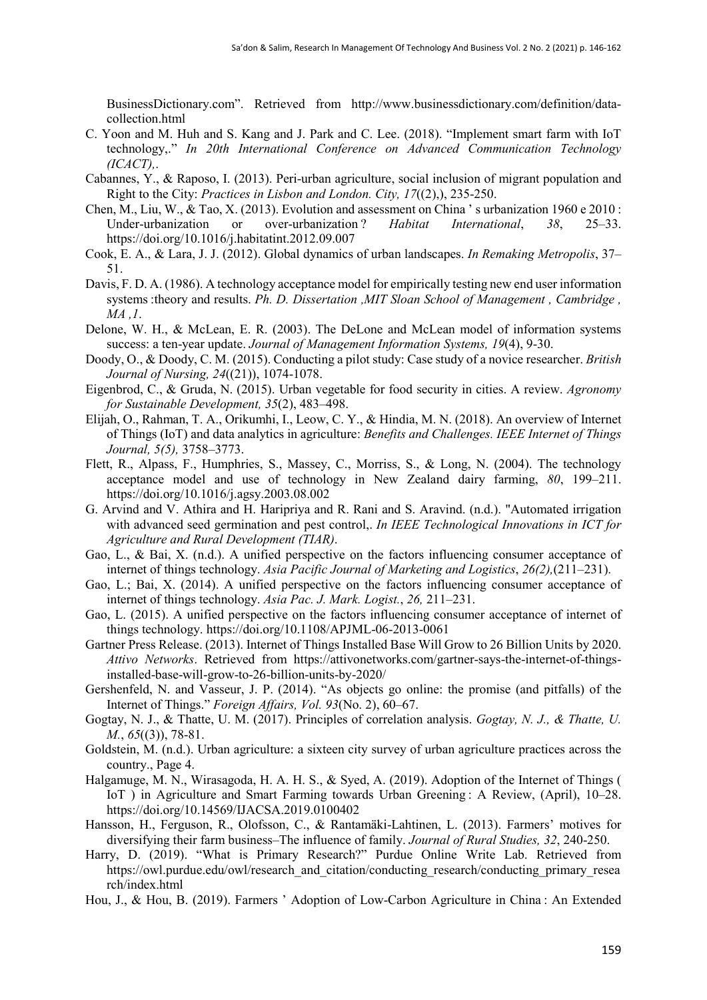BusinessDictionary.com". Retrieved from http://www.businessdictionary.com/definition/datacollection.html

- C. Yoon and M. Huh and S. Kang and J. Park and C. Lee. (2018). "Implement smart farm with IoT technology,." *In 20th International Conference on Advanced Communication Technology (ICACT),*.
- Cabannes, Y., & Raposo, I. (2013). Peri-urban agriculture, social inclusion of migrant population and Right to the City: *Practices in Lisbon and London. City, 17*((2),), 235-250.
- Chen, M., Liu, W., & Tao, X. (2013). Evolution and assessment on China ' s urbanization 1960 e 2010 : Under-urbanization or over-urbanization ? *Habitat International*, *38*, 25–33. https://doi.org/10.1016/j.habitatint.2012.09.007
- Cook, E. A., & Lara, J. J. (2012). Global dynamics of urban landscapes. *In Remaking Metropolis*, 37– 51.
- Davis, F. D. A. (1986). A technology acceptance model for empirically testing new end user information systems :theory and results. *Ph. D. Dissertation ,MIT Sloan School of Management , Cambridge , MA ,1*.
- Delone, W. H., & McLean, E. R. (2003). The DeLone and McLean model of information systems success: a ten-year update. *Journal of Management Information Systems, 19*(4), 9-30.
- Doody, O., & Doody, C. M. (2015). Conducting a pilot study: Case study of a novice researcher. *British Journal of Nursing, 24*((21)), 1074-1078.
- Eigenbrod, C., & Gruda, N. (2015). Urban vegetable for food security in cities. A review. *Agronomy for Sustainable Development, 35*(2), 483–498.
- Elijah, O., Rahman, T. A., Orikumhi, I., Leow, C. Y., & Hindia, M. N. (2018). An overview of Internet of Things (IoT) and data analytics in agriculture: *Benefits and Challenges. IEEE Internet of Things Journal, 5(5),* 3758–3773.
- Flett, R., Alpass, F., Humphries, S., Massey, C., Morriss, S., & Long, N. (2004). The technology acceptance model and use of technology in New Zealand dairy farming, *80*, 199–211. https://doi.org/10.1016/j.agsy.2003.08.002
- G. Arvind and V. Athira and H. Haripriya and R. Rani and S. Aravind. (n.d.). "Automated irrigation with advanced seed germination and pest control,. *In IEEE Technological Innovations in ICT for Agriculture and Rural Development (TIAR)*.
- Gao, L., & Bai, X. (n.d.). A unified perspective on the factors influencing consumer acceptance of internet of things technology. *Asia Pacific Journal of Marketing and Logistics*, *26(2),*(211–231).
- Gao, L.; Bai, X. (2014). A unified perspective on the factors influencing consumer acceptance of internet of things technology. *Asia Pac. J. Mark. Logist.*, *26,* 211–231.
- Gao, L. (2015). A unified perspective on the factors influencing consumer acceptance of internet of things technology. https://doi.org/10.1108/APJML-06-2013-0061
- Gartner Press Release. (2013). Internet of Things Installed Base Will Grow to 26 Billion Units by 2020. *Attivo Networks*. Retrieved from https://attivonetworks.com/gartner-says-the-internet-of-thingsinstalled-base-will-grow-to-26-billion-units-by-2020/
- Gershenfeld, N. and Vasseur, J. P. (2014). "As objects go online: the promise (and pitfalls) of the Internet of Things." *Foreign Affairs, Vol. 93*(No. 2), 60–67.
- Gogtay, N. J., & Thatte, U. M. (2017). Principles of correlation analysis. *Gogtay, N. J., & Thatte, U. M.*, *65*((3)), 78-81.
- Goldstein, M. (n.d.). Urban agriculture: a sixteen city survey of urban agriculture practices across the country., Page 4.
- Halgamuge, M. N., Wirasagoda, H. A. H. S., & Syed, A. (2019). Adoption of the Internet of Things ( IoT ) in Agriculture and Smart Farming towards Urban Greening : A Review, (April), 10–28. https://doi.org/10.14569/IJACSA.2019.0100402
- Hansson, H., Ferguson, R., Olofsson, C., & Rantamäki-Lahtinen, L. (2013). Farmers' motives for diversifying their farm business–The influence of family. *Journal of Rural Studies, 32*, 240-250.
- Harry, D. (2019). "What is Primary Research?" Purdue Online Write Lab. Retrieved from https://owl.purdue.edu/owl/research\_and\_citation/conducting\_research/conducting\_primary\_resea rch/index.html
- Hou, J., & Hou, B. (2019). Farmers ' Adoption of Low-Carbon Agriculture in China : An Extended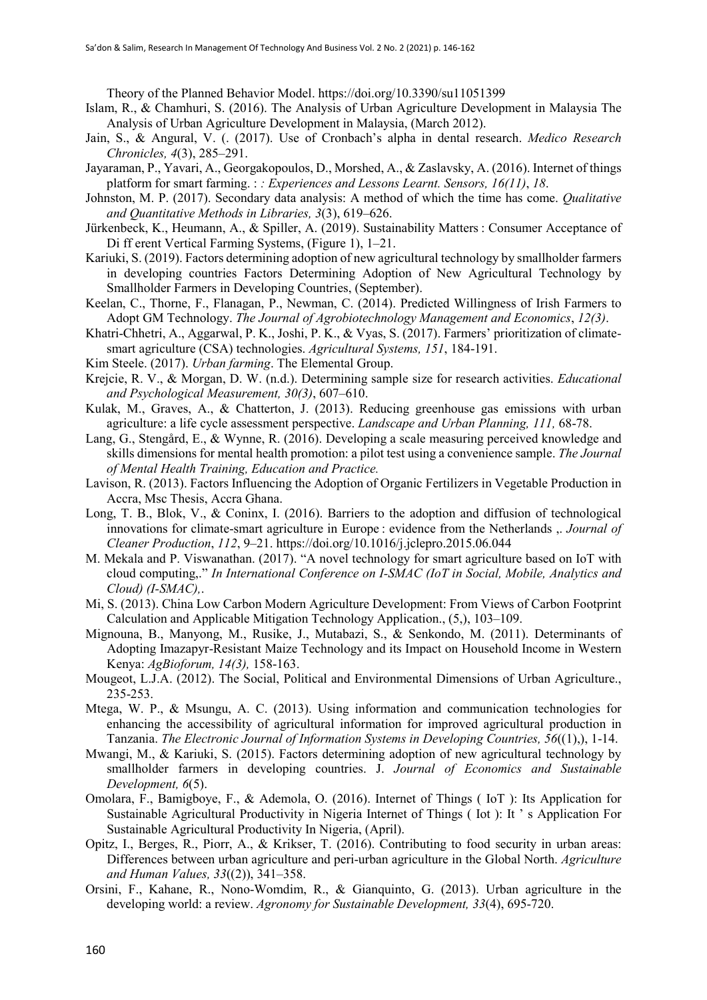Theory of the Planned Behavior Model. https://doi.org/10.3390/su11051399

- Islam, R., & Chamhuri, S. (2016). The Analysis of Urban Agriculture Development in Malaysia The Analysis of Urban Agriculture Development in Malaysia, (March 2012).
- Jain, S., & Angural, V. (. (2017). Use of Cronbach's alpha in dental research. *Medico Research Chronicles, 4*(3), 285–291.
- Jayaraman, P., Yavari, A., Georgakopoulos, D., Morshed, A., & Zaslavsky, A. (2016). Internet of things platform for smart farming. : *: Experiences and Lessons Learnt. Sensors, 16(11)*, *18*.
- Johnston, M. P. (2017). Secondary data analysis: A method of which the time has come. *Qualitative and Quantitative Methods in Libraries, 3*(3), 619–626.
- Jürkenbeck, K., Heumann, A., & Spiller, A. (2019). Sustainability Matters : Consumer Acceptance of Di ff erent Vertical Farming Systems, (Figure 1), 1–21.
- Kariuki, S. (2019). Factors determining adoption of new agricultural technology by smallholder farmers in developing countries Factors Determining Adoption of New Agricultural Technology by Smallholder Farmers in Developing Countries, (September).
- Keelan, C., Thorne, F., Flanagan, P., Newman, C. (2014). Predicted Willingness of Irish Farmers to Adopt GM Technology. *The Journal of Agrobiotechnology Management and Economics*, *12(3)*.
- Khatri-Chhetri, A., Aggarwal, P. K., Joshi, P. K., & Vyas, S. (2017). Farmers' prioritization of climatesmart agriculture (CSA) technologies. *Agricultural Systems, 151*, 184-191.
- Kim Steele. (2017). *Urban farming*. The Elemental Group.
- Krejcie, R. V., & Morgan, D. W. (n.d.). Determining sample size for research activities. *Educational and Psychological Measurement, 30(3)*, 607–610.
- Kulak, M., Graves, A., & Chatterton, J. (2013). Reducing greenhouse gas emissions with urban agriculture: a life cycle assessment perspective. *Landscape and Urban Planning, 111,* 68-78.
- Lang, G., Stengård, E., & Wynne, R. (2016). Developing a scale measuring perceived knowledge and skills dimensions for mental health promotion: a pilot test using a convenience sample. *The Journal of Mental Health Training, Education and Practice.*
- Lavison, R. (2013). Factors Influencing the Adoption of Organic Fertilizers in Vegetable Production in Accra, Msc Thesis, Accra Ghana.
- Long, T. B., Blok, V., & Coninx, I. (2016). Barriers to the adoption and diffusion of technological innovations for climate-smart agriculture in Europe : evidence from the Netherlands ,. *Journal of Cleaner Production*, *112*, 9–21. https://doi.org/10.1016/j.jclepro.2015.06.044
- M. Mekala and P. Viswanathan. (2017). "A novel technology for smart agriculture based on IoT with cloud computing,." *In International Conference on I-SMAC (IoT in Social, Mobile, Analytics and Cloud) (I-SMAC),*.
- Mi, S. (2013). China Low Carbon Modern Agriculture Development: From Views of Carbon Footprint Calculation and Applicable Mitigation Technology Application., (5,), 103–109.
- Mignouna, B., Manyong, M., Rusike, J., Mutabazi, S., & Senkondo, M. (2011). Determinants of Adopting Imazapyr-Resistant Maize Technology and its Impact on Household Income in Western Kenya: *AgBioforum, 14(3),* 158-163.
- Mougeot, L.J.A. (2012). The Social, Political and Environmental Dimensions of Urban Agriculture., 235-253.
- Mtega, W. P., & Msungu, A. C. (2013). Using information and communication technologies for enhancing the accessibility of agricultural information for improved agricultural production in Tanzania. *The Electronic Journal of Information Systems in Developing Countries, 56*((1),), 1-14.
- Mwangi, M., & Kariuki, S. (2015). Factors determining adoption of new agricultural technology by smallholder farmers in developing countries. J. *Journal of Economics and Sustainable Development, 6*(5).
- Omolara, F., Bamigboye, F., & Ademola, O. (2016). Internet of Things ( IoT ): Its Application for Sustainable Agricultural Productivity in Nigeria Internet of Things ( Iot ): It ' s Application For Sustainable Agricultural Productivity In Nigeria, (April).
- Opitz, I., Berges, R., Piorr, A., & Krikser, T. (2016). Contributing to food security in urban areas: Differences between urban agriculture and peri-urban agriculture in the Global North. *Agriculture and Human Values, 33*((2)), 341–358.
- Orsini, F., Kahane, R., Nono-Womdim, R., & Gianquinto, G. (2013). Urban agriculture in the developing world: a review. *Agronomy for Sustainable Development, 33*(4), 695-720.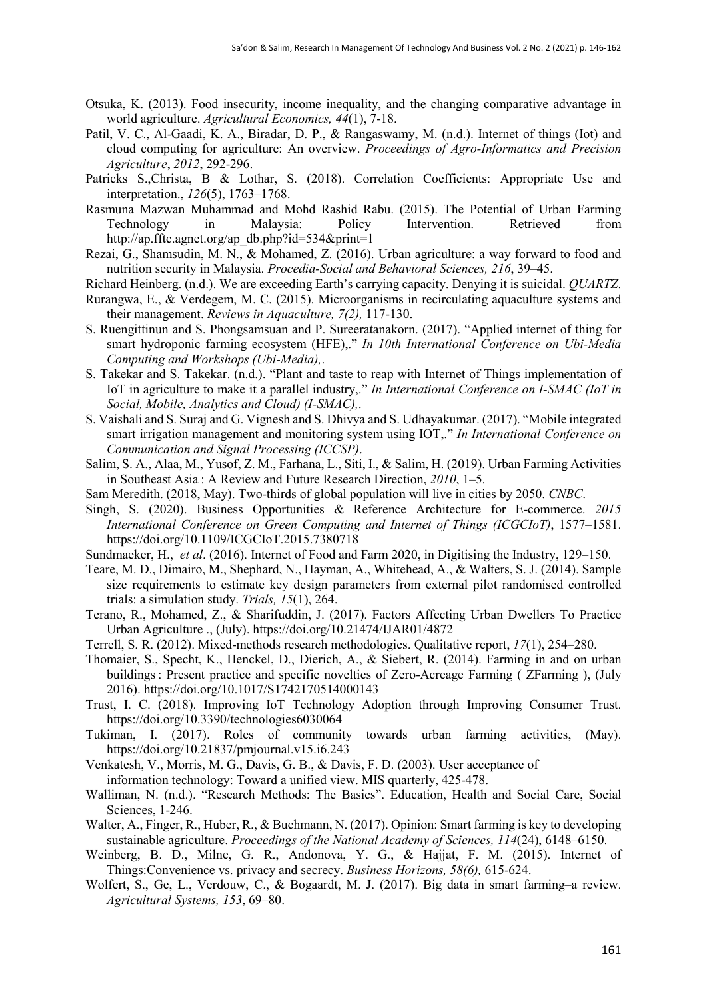- Otsuka, K. (2013). Food insecurity, income inequality, and the changing comparative advantage in world agriculture. *Agricultural Economics, 44*(1), 7-18.
- Patil, V. C., Al-Gaadi, K. A., Biradar, D. P., & Rangaswamy, M. (n.d.). Internet of things (Iot) and cloud computing for agriculture: An overview. *Proceedings of Agro-Informatics and Precision Agriculture*, *2012*, 292-296.
- Patricks S.,Christa, B & Lothar, S. (2018). Correlation Coefficients: Appropriate Use and interpretation., *126*(5), 1763–1768.
- Rasmuna Mazwan Muhammad and Mohd Rashid Rabu. (2015). The Potential of Urban Farming Technology in Malaysia: Policy Intervention. Retrieved from http://ap.fftc.agnet.org/ap\_db.php?id=534&print=1
- Rezai, G., Shamsudin, M. N., & Mohamed, Z. (2016). Urban agriculture: a way forward to food and nutrition security in Malaysia. *Procedia-Social and Behavioral Sciences, 216*, 39–45.
- Richard Heinberg. (n.d.). We are exceeding Earth's carrying capacity. Denying it is suicidal. *QUARTZ*.
- Rurangwa, E., & Verdegem, M. C. (2015). Microorganisms in recirculating aquaculture systems and their management. *Reviews in Aquaculture, 7(2),* 117-130.
- S. Ruengittinun and S. Phongsamsuan and P. Sureeratanakorn. (2017). "Applied internet of thing for smart hydroponic farming ecosystem (HFE),." *In 10th International Conference on Ubi-Media Computing and Workshops (Ubi-Media),*.
- S. Takekar and S. Takekar. (n.d.). "Plant and taste to reap with Internet of Things implementation of IoT in agriculture to make it a parallel industry,." *In International Conference on I-SMAC (IoT in Social, Mobile, Analytics and Cloud) (I-SMAC),*.
- S. Vaishali and S. Suraj and G. Vignesh and S. Dhivya and S. Udhayakumar. (2017). "Mobile integrated smart irrigation management and monitoring system using IOT,." *In International Conference on Communication and Signal Processing (ICCSP)*.
- Salim, S. A., Alaa, M., Yusof, Z. M., Farhana, L., Siti, I., & Salim, H. (2019). Urban Farming Activities in Southeast Asia : A Review and Future Research Direction, *2010*, 1–5.
- Sam Meredith. (2018, May). Two-thirds of global population will live in cities by 2050. *CNBC*.
- Singh, S. (2020). Business Opportunities & Reference Architecture for E-commerce. *2015 International Conference on Green Computing and Internet of Things (ICGCIoT)*, 1577–1581. https://doi.org/10.1109/ICGCIoT.2015.7380718
- Sundmaeker, H., *et al*. (2016). Internet of Food and Farm 2020, in Digitising the Industry, 129–150.
- Teare, M. D., Dimairo, M., Shephard, N., Hayman, A., Whitehead, A., & Walters, S. J. (2014). Sample size requirements to estimate key design parameters from external pilot randomised controlled trials: a simulation study. *Trials, 15*(1), 264.
- Terano, R., Mohamed, Z., & Sharifuddin, J. (2017). Factors Affecting Urban Dwellers To Practice Urban Agriculture ., (July). https://doi.org/10.21474/IJAR01/4872
- Terrell, S. R. (2012). Mixed-methods research methodologies. Qualitative report, *17*(1), 254–280.
- Thomaier, S., Specht, K., Henckel, D., Dierich, A., & Siebert, R. (2014). Farming in and on urban buildings : Present practice and specific novelties of Zero-Acreage Farming ( ZFarming ), (July 2016). https://doi.org/10.1017/S1742170514000143
- Trust, I. C. (2018). Improving IoT Technology Adoption through Improving Consumer Trust. https://doi.org/10.3390/technologies6030064
- Tukiman, I. (2017). Roles of community towards urban farming activities, (May). https://doi.org/10.21837/pmjournal.v15.i6.243
- Venkatesh, V., Morris, M. G., Davis, G. B., & Davis, F. D. (2003). User acceptance of information technology: Toward a unified view. MIS quarterly, 425-478.
- Walliman, N. (n.d.). "Research Methods: The Basics". Education, Health and Social Care, Social Sciences, 1-246.
- Walter, A., Finger, R., Huber, R., & Buchmann, N. (2017). Opinion: Smart farming is key to developing sustainable agriculture. *Proceedings of the National Academy of Sciences, 114*(24), 6148–6150.
- Weinberg, B. D., Milne, G. R., Andonova, Y. G., & Hajjat, F. M. (2015). Internet of Things:Convenience vs. privacy and secrecy. *Business Horizons, 58(6),* 615-624.
- Wolfert, S., Ge, L., Verdouw, C., & Bogaardt, M. J. (2017). Big data in smart farming–a review. *Agricultural Systems, 153*, 69–80.